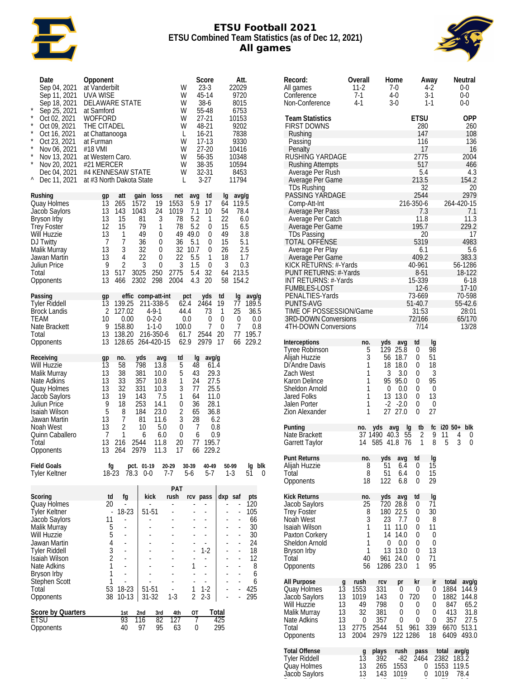

#### **ETSU Football 2021 ETSU Combined Team Statistics (as of Dec 12, 2021) All games**



| Date<br>Sep 04, 2021<br>Sep 11, 2021<br>Sep 18, 2021<br>$\ast$<br>Sep 25, 2021<br>$\ast$<br>Oct 02, 2021<br>*<br>Oct 09, 2021<br>*<br>Oct 16, 2021<br>×<br>Oct 23, 2021<br>×<br>Nov 06, 2021<br>×<br>Nov 13, 2021<br>$\star$<br>Nov 20, 2021<br>Dec 04, 2021<br>٨<br>Dec 11, 2021 | Opponent<br>at Vanderbilt<br>UVA WISE<br>DELAWARE STATE<br>at Samford<br>WOFFORD<br>THE CITADEL<br>at Chattanooga<br>at Furman<br>#18 VMI<br>at Western Caro.<br>#21 MERCER<br>#4 KENNESAW STATE<br>at #3 North Dakota State |                                                                                                                                                                                           | W<br>W<br>W<br>W<br>W<br>W<br>L<br>W<br>W<br>W<br>W<br>W<br>L                                                                                                   | Score<br>$23-3$<br>45-14<br>38-6<br>55-48<br>27-21<br>48-21<br>16-21<br>$17-13$<br>$27-20$<br>56-35<br>38-35<br>32-31<br>$3-27$ | Att.<br>22029<br>9720<br>8015<br>6753<br>10153<br>9202<br>7838<br>9330<br>10416<br>10348<br>10594<br>8453<br>11794                       |                                                                                    |
|-----------------------------------------------------------------------------------------------------------------------------------------------------------------------------------------------------------------------------------------------------------------------------------|------------------------------------------------------------------------------------------------------------------------------------------------------------------------------------------------------------------------------|-------------------------------------------------------------------------------------------------------------------------------------------------------------------------------------------|-----------------------------------------------------------------------------------------------------------------------------------------------------------------|---------------------------------------------------------------------------------------------------------------------------------|------------------------------------------------------------------------------------------------------------------------------------------|------------------------------------------------------------------------------------|
| Rushing<br>Quay Holmes<br>Jacob Saylors<br>Bryson Irby<br><b>Trey Foster</b><br>Will Huzzie<br>DJ Twitty<br>Malik Murray<br>Jawan Martin<br>Juliun Price<br>Total<br>Opponents                                                                                                    | att<br>gp<br>13<br>265<br>13<br>143<br>13<br>15<br>12<br>15<br>13<br>1<br>7<br>$\overline{7}$<br>3<br>13<br>13<br>4<br>$\overline{c}$<br>9<br>13<br>517<br>13<br>466                                                         | gain<br>loss<br>19<br>1572<br>24<br>1043<br>3<br>81<br>1<br>79<br>49<br>0<br>36<br>0<br>32<br>0<br>22<br>0<br>3<br>0<br>3025<br>250<br>298<br>2302                                        | net<br>avg<br>1553<br>5.9<br>1019<br>7.1<br>5.2<br>78<br>78<br>5.2<br>49 49.0<br>36<br>5.1<br>32<br>10.7<br>22<br>5.5<br>3<br>1.5<br>2775<br>5.4<br>4.3<br>2004 | td<br>17<br>10<br>1<br>0<br>0<br>0<br>0<br>1<br>0<br>32<br>20                                                                   | lg<br>avg/g<br>64<br>119.5<br>54<br>78.4<br>22<br>15<br>49<br>15<br>5.1<br>26<br>2.5<br>18<br>1.7<br>3<br>0.3<br>64 213.5<br>154.2<br>58 | 6.0<br>6.5<br>3.8                                                                  |
| Passing<br><b>Tyler Riddell</b><br><b>Brock Landis</b><br>TEAM<br>Nate Brackett<br>Total<br>Opponents                                                                                                                                                                             | gp<br>13<br>139.25<br>2<br>127.02<br>10<br>0.00<br>9<br>158.80<br>13<br>13                                                                                                                                                   | effic comp-att-int<br>211-338-5<br>$4 - 9 - 1$<br>$0 - 2 - 0$<br>$1 - 1 - 0$<br>138.20 216-350-6<br>128.65 264-420-15                                                                     | pct<br>62.4<br>44.4<br>$0.0\,$<br>100.0<br>61.7<br>62.9                                                                                                         | yds<br>2464<br>73<br>0<br>7<br>2544<br>20<br>2979                                                                               | td<br>lg<br>19<br>77<br>25<br>1<br>0<br>0<br>7<br>0<br>77<br>17<br>66                                                                    | avg/g<br>189.5<br>36.5<br>0.0<br>0.8<br>195.7<br>229.2                             |
| Receiving<br>Will Huzzie<br>Malik Murray<br>Nate Adkins<br>Quay Holmes<br>Jacob Saylors<br>Juliun Price<br>Isaiah Wilson<br>Jawan Martin<br>Noah West<br>Quinn Caballero<br>Total<br>Opponents                                                                                    | gp<br>no.<br>13<br>58<br>38<br>13<br>33<br>13<br>32<br>13<br>13<br>19<br>9<br>18<br>5<br>8<br>7<br>13<br>$\overline{c}$<br>13<br>1<br>7<br>13<br>216<br>13<br>264                                                            | yds<br>avg<br>798<br>13.8<br>381<br>10.0<br>357<br>10.8<br>331<br>10.3<br>143<br>7.5<br>253<br>14.1<br>184<br>23.0<br>81<br>11.6<br>10<br>5.0<br>6<br>6.0<br>2544<br>11.8<br>2979<br>11.3 | td<br>lg<br>5<br>48<br>5<br>43<br>1<br>24<br>3<br>77<br>1<br>64<br>36<br>0<br>$\overline{c}$<br>65<br>3<br>28<br>7<br>0<br>0<br>6<br>77<br>20<br>17<br>66       | avg/g<br>61.4<br>29.3<br>27.5<br>25.5<br>11.0<br>28.1<br>36.8<br>6.2<br>0.8<br>0.9<br>195.7<br>229.2                            |                                                                                                                                          |                                                                                    |
| <b>Field Goals</b><br>Tyler Keltner                                                                                                                                                                                                                                               | fg<br>18-23<br>78.3                                                                                                                                                                                                          | pct. 01-19<br>20-29<br>$0-0$<br>7-7                                                                                                                                                       | 30-39<br>5-6                                                                                                                                                    | 40-49<br>5-7                                                                                                                    | 50-99<br>1-3                                                                                                                             | blk<br>Ig<br>51<br>0                                                               |
| Scoring<br>Quay Holmes<br>Tyler Keltner<br>Jacob Saylors<br>Malik Murray<br>Will Huzzie<br>Jawan Martin<br><b>Tyler Riddell</b><br>Isaiah Wilson<br>Nate Adkins<br>Bryson Irby<br>Stephen Scott<br>Total<br>Opponents                                                             | td<br>fg<br>20<br>÷,<br>18-23<br>÷<br>11<br>L,<br>5<br>ä,<br>5<br>4<br>3<br>$\overline{2}$<br>1<br>ä,<br>1<br>ä,<br>1<br>L,<br>53<br>18-23<br>38<br>10-13                                                                    | kick<br>51-51<br>51-51<br>$31 - 32$                                                                                                                                                       | PAT<br>rush<br>Ĭ.<br>1<br>Ĭ.<br>ä,<br>1<br>ä,<br>$\overline{2}$<br>$1 - 3$                                                                                      | rcv pass<br>L,<br>ä,<br>ä,<br>÷.<br>÷.<br>$1-2$<br>ä,<br>ä,<br>ä,<br>ä,<br>$1 - 2$<br>$2 - 3$                                   | dxp saf<br>÷,<br>Ĭ.<br>ä,<br>÷,<br>ä,<br>ä,<br>L,<br>÷,<br>L,<br>÷,<br>ä,<br>ä,                                                          | pts<br>120<br>105<br>66<br>30<br>30<br>24<br>18<br>12<br>8<br>6<br>6<br>425<br>295 |
| Score by Quarters<br>etsu<br>Opponents                                                                                                                                                                                                                                            | 1st<br>93<br>40                                                                                                                                                                                                              | 2nd<br>3rd<br>116<br>82<br>97<br>95                                                                                                                                                       | ΟT<br>4th<br>127<br>7<br>63<br>0                                                                                                                                | Total<br>425<br>295                                                                                                             |                                                                                                                                          |                                                                                    |

| Record:<br>All games<br>Conference<br>Non-Conference                                                                                                                                                                                                                                                                                                                                                                                                                                                                                                                                        |                                             | Overall<br>11-2<br>7-1<br>$4-1$                       |                                                               | Home<br>7-0<br>4-0<br>$3-0$                                                                 |                                                                                                                                                                                                                                              | Away<br>4-2<br>$3-1$<br>$1 - 1$                       | Neutral<br>0-0<br>$0 - 0$<br>0-0                                                                                                |
|---------------------------------------------------------------------------------------------------------------------------------------------------------------------------------------------------------------------------------------------------------------------------------------------------------------------------------------------------------------------------------------------------------------------------------------------------------------------------------------------------------------------------------------------------------------------------------------------|---------------------------------------------|-------------------------------------------------------|---------------------------------------------------------------|---------------------------------------------------------------------------------------------|----------------------------------------------------------------------------------------------------------------------------------------------------------------------------------------------------------------------------------------------|-------------------------------------------------------|---------------------------------------------------------------------------------------------------------------------------------|
| <b>Team Statistics</b><br><b>FIRST DOWNS</b><br>Rushing<br>Passing<br>Penalty<br>RUSHING YARDAGE<br><b>Rushing Attempts</b><br>Average Per Rush<br>Average Per Game<br>TDs Rushing<br>PASSING YARDAGE<br>Comp-Att-Int<br>Average Per Pass<br>Average Per Catch<br>Average Per Game<br><b>TDs Passing</b><br><b>TOTAL OFFENSE</b><br>Average Per Play<br>Average Per Game<br>KICK RETURNS: #-Yards<br>PUNT RETURNS: #-Yards<br>INT RETURNS: #-Yards<br><b>FUMBLES-LOST</b><br>PENALTIES-Yards<br><b>PUNTS-AVG</b><br>TIME OF POSSESSION/Game<br>3RD-DOWN Conversions<br>4TH-DOWN Conversions |                                             |                                                       |                                                               | 216-350-6<br>40-961<br>51-40.7                                                              | OPP<br>260<br>108<br>136<br>16<br>2004<br>466<br>4.3<br>154.2<br>20<br>2979<br>264-420-15<br>7.1<br>11.3<br>229.2<br>17<br>4983<br>5.6<br>383.3<br>56-1286<br>18-122<br>$6 - 18$<br>$17-10$<br>70-598<br>55-42.6<br>28:01<br>65/170<br>13/28 |                                                       |                                                                                                                                 |
| Interceptions<br><b>Tyree Robinson</b><br>Alijah Huzzie<br>Di'Andre Davis<br>Zach West<br>Karon Delince<br>Sheldon Arnold<br>Jared Folks<br>Jalen Porter<br>Zion Alexander                                                                                                                                                                                                                                                                                                                                                                                                                  |                                             | no.<br>5<br>3<br>1<br>1<br>1<br>1<br>1<br>1<br>1      | yds<br>3<br>0<br>$-2$<br>27                                   | avg<br>129 25.8<br>56 18.7<br>18 18.0<br>3.0<br>95 95.0<br>0.0<br>13 13.0<br>$-2.0$<br>27.0 | td<br>0<br>$\Omega$<br>0<br>0<br>0<br>0<br>0<br>0<br>$\Omega$                                                                                                                                                                                | Ig<br>98<br>51<br>18<br>3<br>95<br>0<br>13<br>0<br>27 |                                                                                                                                 |
| Punting<br>Nate Brackett<br>Garrett Taylor                                                                                                                                                                                                                                                                                                                                                                                                                                                                                                                                                  |                                             | no.<br>14                                             | yds<br>37 1490 40.3<br>585 41.8                               | avg<br>$5\bar{5}$                                                                           | tb<br>Ig<br>2<br>76<br>1                                                                                                                                                                                                                     | fc<br>9<br>8                                          | i20 50+ blk<br>11<br>4<br>0<br>5<br>3<br>0                                                                                      |
| Punt Returns<br>Alijah Huzzie<br>Total<br>Opponents                                                                                                                                                                                                                                                                                                                                                                                                                                                                                                                                         |                                             | no.<br>8<br>8<br>18                                   | yds<br>51<br>51<br>122                                        | 6.4<br>6.4<br>6.8                                                                           | avg td<br>0<br>0<br>0                                                                                                                                                                                                                        | Ig<br>15<br>15<br>29                                  |                                                                                                                                 |
| <b>Kick Returns</b><br>Jacob Saylors<br><b>Trey Foster</b><br>Noah West<br>Isaiah Wilson<br>Paxton Corkery<br>Sheldon Arnold<br>Bryson Irby<br>Total<br>Opponents                                                                                                                                                                                                                                                                                                                                                                                                                           |                                             | no.<br>25<br>8<br>3<br>1<br>1<br>1<br>1<br>40<br>56   | yds<br>720<br>180<br>23<br>11<br>14<br>0<br>13<br>961<br>1286 | avg<br>28.8<br>22.5<br>7.7<br>11.0<br>14.0<br>0.0<br>13.0<br>24.0<br>23.0                   | td<br>0<br>0<br>0<br>0<br>0<br>0<br>0<br>0<br>1                                                                                                                                                                                              | lg<br>71<br>30<br>8<br>11<br>0<br>0<br>13<br>71<br>95 |                                                                                                                                 |
| All Purpose<br>Quay Holmes<br>Jacob Saylors<br>Will Huzzie<br>Malik Murray<br>Nate Adkins<br>Total<br>Opponents                                                                                                                                                                                                                                                                                                                                                                                                                                                                             | g<br>13<br>13<br>13<br>13<br>13<br>13<br>13 | rush<br>1553<br>1019<br>49<br>32<br>0<br>2775<br>2004 | rcv<br>331<br>143<br>798<br>381<br>357<br>2544<br>2979        | pr<br>0<br>0<br>0<br>0<br>0<br>51<br>122 1286                                               | kr<br>0<br>720<br>0<br>0<br>0<br>961                                                                                                                                                                                                         | ir<br>0<br>0<br>0<br>0<br>0<br>339<br>18              | total<br>avg/g<br>144.9<br>1884<br>1882<br>144.8<br>847<br>65.2<br>413<br>31.8<br>27.5<br>357<br>6670<br>513.1<br>6409<br>493.0 |
| <b>Total Offense</b><br><b>Tyler Riddell</b><br>Quay Holmes<br>Jacob Saylors                                                                                                                                                                                                                                                                                                                                                                                                                                                                                                                |                                             | $\frac{9}{13}$<br>13<br>13                            | plays<br>392<br>265<br>143                                    | rush<br>-82<br>1553<br>1019                                                                 | pass<br>2464                                                                                                                                                                                                                                 | 0<br>0                                                | total<br>avg/g<br>183.2<br>2382<br>1553<br>119.5<br>1019<br>78.4                                                                |

Bryson Irby 13 15 78 0 78 6.0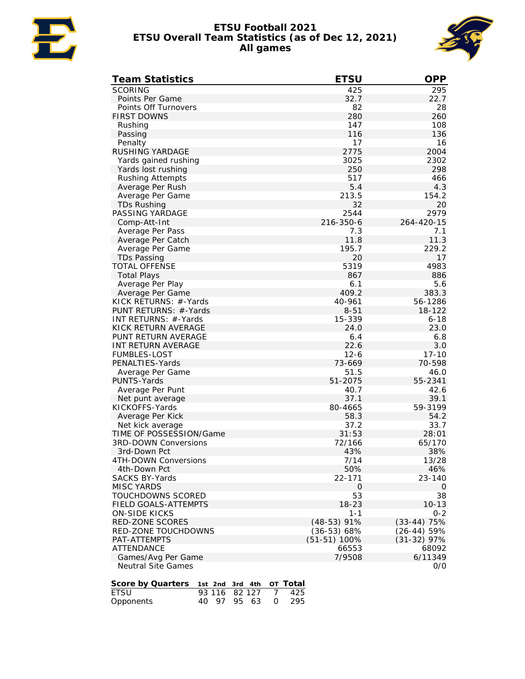

#### **ETSU Football 2021 ETSU Overall Team Statistics (as of Dec 12, 2021) All games**



| <b>Team Statistics</b>               | <b>ETSU</b>    | <b>OPP</b>    |
|--------------------------------------|----------------|---------------|
| <b>SCORING</b>                       | 425            | 295           |
| Points Per Game                      | 32.7           | 22.7          |
| Points Off Turnovers                 | 82             | 28            |
| <b>FIRST DOWNS</b>                   | 280            | 260           |
| Rushing                              | 147            | 108           |
| Passing                              | 116            | 136           |
| Penalty                              | 17             | 16            |
| RUSHING YARDAGE                      | 2775           | 2004          |
| Yards gained rushing                 | 3025           | 2302          |
| Yards lost rushing                   | 250            | 298           |
| Rushing Attempts                     | 517            | 466           |
| Average Per Rush                     | 5.4            | 4.3           |
| Average Per Game                     | 213.5          | 154.2         |
| TDs Rushing                          | 32             | 20            |
| PASSING YARDAGE                      | 2544           | 2979          |
| Comp-Att-Int                         | 216-350-6      | 264-420-15    |
| Average Per Pass                     | 7.3            | 7.1           |
| Average Per Catch                    | 11.8           | 11.3          |
| Average Per Game                     | 195.7          | 229.2         |
| <b>TDs Passing</b>                   | 20             | 17            |
| <b>TOTAL OFFENSE</b>                 | 5319           | 4983          |
| <b>Total Plays</b>                   | 867            | 886           |
| Average Per Play                     | 6.1            | 5.6           |
| Average Per Game                     | 409.2          | 383.3         |
| KICK RETURNS: #-Yards                | 40-961         | 56-1286       |
| PUNT RETURNS: #-Yards                | $8 - 51$       | 18-122        |
| INT RETURNS: #-Yards                 | 15-339         | $6 - 18$      |
| KICK RETURN AVERAGE                  | 24.0           | 23.0          |
| PUNT RETURN AVERAGE                  | 6.4            | 6.8           |
| INT RETURN AVERAGE                   | 22.6           | 3.0           |
| <b>FUMBLES-LOST</b>                  | $12 - 6$       | $17 - 10$     |
| PENALTIES-Yards                      | 73-669         | 70-598        |
| Average Per Game                     | 51.5           | 46.0          |
| PUNTS-Yards                          | 51-2075        | 55-2341       |
| Average Per Punt                     | 40.7           | 42.6          |
| Net punt average                     | 37.1           | 39.1          |
| KICKOFFS-Yards                       | 80-4665        | 59-3199       |
| Average Per Kick                     | 58.3           | 54.2          |
| Net kick average                     | 37.2           | 33.7          |
| TIME OF POSSESSION/Game              | 31:53          | 28:01         |
| <b>3RD-DOWN Conversions</b>          | 72/166         | 65/170        |
| 3rd-Down Pct                         | 43%            | 38%           |
| 4 I H-DOWN Conversions               | 1/14           | 13/28         |
| 4th-Down Pct                         | 50%            | 46%           |
| <b>SACKS BY-Yards</b>                | 22-171         | 23-140        |
| <b>MISC YARDS</b>                    | 0              | 0             |
| TOUCHDOWNS SCORED                    | 53             | 38            |
| <b>FIELD GOALS-ATTEMPTS</b>          | $18 - 23$      | $10 - 13$     |
| <b>ON-SIDE KICKS</b>                 | $1 - 1$        | $0 - 2$       |
| RED-ZONE SCORES                      | $(48-53)$ 91%  | $(33-44)$ 75% |
| <b>RED-ZONE TOUCHDOWNS</b>           | $(36-53) 68%$  | $(26-44)$ 59% |
| PAT-ATTEMPTS                         | $(51-51)$ 100% | $(31-32)$ 97% |
| ATTENDANCE                           | 66553          | 68092         |
| Games/Avg Per Game                   | 7/9508         | 6/11349       |
| <b>Neutral Site Games</b>            |                | 0/0           |
|                                      |                |               |
| Score by Quarters<br>1st 2nd 3rd 4th | OT Total       |               |
| 82 127<br>ETSU<br>93 116             | 425<br>7       |               |

| ____      |  |  | 79 119 94 147 1749 |
|-----------|--|--|--------------------|
| Opponents |  |  | 40 97 95 63 0 295  |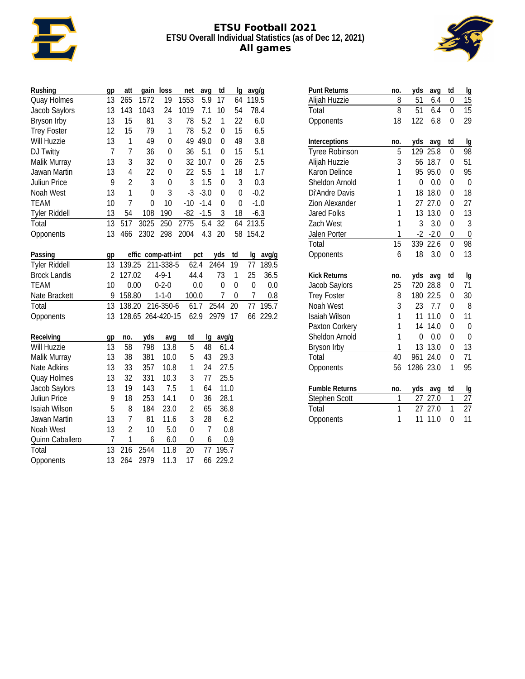

#### **ETSU Football 2021 ETSU Overall Individual Statistics (as of Dec 12, 2021) All games**



| Rushing              | gp             | att            | gain               | loss        | net            | avg    | td               | Ig               | avg/g            |        |
|----------------------|----------------|----------------|--------------------|-------------|----------------|--------|------------------|------------------|------------------|--------|
| Quay Holmes          | 13             | 265            | 1572               | 19          | 1553           | 5.9    | 17               | 64               | 119.5            |        |
| Jacob Saylors        | 13             | 143            | 1043               | 24          | 1019           | 7.1    | 10               | 54               |                  | 78.4   |
| Bryson Irby          | 13             | 15             | 81                 | 3           | 78             | 5.2    | 1                | 22               |                  | 6.0    |
| <b>Trey Foster</b>   | 12             | 15             | 79                 | 1           | 78             | 5.2    | $\mathbf 0$      | 15               |                  | 6.5    |
| <b>Will Huzzie</b>   | 13             | 1              | 49                 | 0           | 49             | 49.0   | 0                | 49               |                  | 3.8    |
| DJ Twitty            | $\overline{7}$ | 7              | 36                 | 0           | 36             | 5.1    | 0                | 15               |                  | 5.1    |
| Malik Murray         | 13             | 3              | 32                 | $\mathbf 0$ | 32             | 10.7   | $\boldsymbol{0}$ | 26               |                  | 2.5    |
| Jawan Martin         | 13             | 4              | 22                 | 0           | 22             | 5.5    | 1                | 18               |                  | 1.7    |
| Juliun Price         | 9              | $\overline{2}$ | $\mathfrak{Z}$     | $\mathbf 0$ | $\mathfrak{Z}$ | 1.5    | $\boldsymbol{0}$ | 3                |                  | 0.3    |
| Noah West            | 13             | $\mathbf{1}$   | $\mathbf 0$        | 3           | $-3$           | $-3.0$ | $\boldsymbol{0}$ | 0                |                  | $-0.2$ |
| TEAM                 | 10             | $\overline{1}$ | 0                  | 10          | $-10$          | $-1.4$ | $\boldsymbol{0}$ | 0                |                  | $-1.0$ |
| <b>Tyler Riddell</b> | 13             | 54             | 108                | 190         | $-82$          | $-1.5$ | $\mathfrak{Z}$   | 18               |                  | $-6.3$ |
| Total                | 13             | 517            | 3025               | 250         | 2775           | 5.4    | 32               | 64               | 213.5            |        |
| Opponents            | 13             | 466            | 2302               | 298         | 2004           | 4.3    | 20               | 58               | 154.2            |        |
|                      |                |                |                    |             |                |        |                  |                  |                  |        |
| Passing              | gp             |                | effic comp-att-int |             |                | pct    | yds              | td               | Ig               | avg/g  |
| <b>Tyler Riddell</b> | 13             | 139.25         |                    | 211-338-5   |                | 62.4   | 2464             | 19               | 77               | 189.5  |
| <b>Brock Landis</b>  | $\overline{2}$ | 127.02         |                    | $4 - 9 - 1$ |                | 44.4   | 73               | 1                | 25               | 36.5   |
| <b>TEAM</b>          | 10             | 0.00           |                    | $0 - 2 - 0$ |                | 0.0    | $\pmb{0}$        | $\mathbf 0$      | $\boldsymbol{0}$ | 0.0    |
| Nate Brackett        | 9              | 158.80         |                    | $1 - 1 - 0$ | 100.0          |        | $\overline{1}$   | $\boldsymbol{0}$ | $\overline{1}$   | 0.8    |
| Total                | 13             | 138.20         |                    | 216-350-6   |                | 61.7   | 2544             | 20               | 77               | 195.7  |
| Opponents            | 13             |                | 128.65 264-420-15  |             |                | 62.9   | 2979             | 17               | 66               | 229.2  |
|                      |                |                |                    |             |                |        |                  |                  |                  |        |
| Receiving            | gp             | no.            | yds                | avg         | td             | lg     | avg/g            |                  |                  |        |
| <b>Will Huzzie</b>   | 13             | 58             | 798                | 13.8        | 5              | 48     | 61.4             |                  |                  |        |
| Malik Murray         | 13             | 38             | 381                | 10.0        | 5              | 43     | 29.3             |                  |                  |        |
| Nate Adkins          | 13             | 33             | 357                | 10.8        | $\mathbf{1}$   | 24     | 27.5             |                  |                  |        |
| Quay Holmes          | 13             | 32             | 331                | 10.3        | 3              | 77     | 25.5             |                  |                  |        |
| Jacob Saylors        | 13             | 19             | 143                | 7.5         | 1              | 64     | 11.0             |                  |                  |        |
| Juliun Price         | 9              | 18             | 253                | 14.1        | $\pmb{0}$      | 36     | 28.1             |                  |                  |        |
| Isaiah Wilson        | 5              | 8              | 184                | 23.0        | $\overline{2}$ | 65     | 36.8             |                  |                  |        |
| Jawan Martin         | 13             | $\overline{1}$ | 81                 | 11.6        | 3              | 28     |                  | 6.2              |                  |        |
| Noah West            | 13             | $\overline{c}$ | 10                 | 5.0         | $\mathbf 0$    | 7      |                  | 0.8              |                  |        |
| Quinn Caballero      | $\overline{1}$ | $\mathbf{1}$   | 6                  | 6.0         | $\mathbf 0$    | 6      |                  | 0.9              |                  |        |
| Total                | 13             | 216            | 2544               | 11.8        | 20             | 77     | 195.7            |                  |                  |        |
| Opponents            | 13             | 264            | 2979               | 11.3        | 17             | 66     | 229.2            |                  |                  |        |

| <b>Punt Returns</b>   | no.            | yds  | avq    | td             | Ig              |
|-----------------------|----------------|------|--------|----------------|-----------------|
| Alijah Huzzie         | 8              | 51   | 6.4    | 0              | 15              |
| Total                 | 8              | 51   | 6.4    | 0              | 15              |
| Opponents             | 18             | 122  | 6.8    | $\Omega$       | 29              |
|                       |                |      |        |                |                 |
| Interceptions         | no.            | yds  | avg    | td             | Ig              |
| <b>Tyree Robinson</b> | 5              | 129  | 25.8   | $\mathbf{0}$   | 98              |
| Alijah Huzzie         | 3              | 56   | 18.7   | $\Omega$       | 51              |
| Karon Delince         | 1              | 95   | 95.0   | $\overline{0}$ | 95              |
| Sheldon Arnold        | 1              | 0    | 0.0    | 0              | $\overline{0}$  |
| Di'Andre Davis        | 1              | 18   | 18.0   | 0              | 18              |
| Zion Alexander        | 1              | 27   | 27.0   | 0              | 27              |
| <b>Jared Folks</b>    | 1              | 13   | 13.0   | $\overline{0}$ | 13              |
| Zach West             | 1              | 3    | 3.0    | 0              | 3               |
| Jalen Porter          | 1              | $-2$ | $-2.0$ | 0              | 0               |
| Total                 | 15             | 339  | 22.6   | $\mathbf{0}$   | 98              |
| Opponents             | 6              | 18   | 3.0    | 0              | 13              |
| <b>Kick Returns</b>   | no.            | yds  | avg    | td             | Ig              |
| Jacob Saylors         | 25             | 720  | 28.8   | 0              | 71              |
| <b>Trey Foster</b>    | 8              | 180  | 22.5   | 0              | 30              |
| Noah West             | 3              | 23   | 7.7    | 0              | 8               |
| <b>Isaiah Wilson</b>  | 1              | 11   | 11.0   | 0              | 11              |
| Paxton Corkery        | 1              | 14   | 14.0   | 0              | 0               |
| Sheldon Arnold        | $\overline{1}$ | 0    | 0.0    | 0              | 0               |
| Bryson Irby           | 1              | 13   | 13.0   | 0              | 13              |
| Total                 | 40             | 961  | 24.0   | $\overline{0}$ | $\overline{71}$ |
| Opponents             | 56             | 1286 | 23.0   | 1              | 95              |
| <b>Fumble Returns</b> | no.            | yds  | avg    | td             | Ig              |
| Stephen Scott         | 1              | 27   | 27.0   | $\mathbf{1}$   | 27              |
| Total                 | $\overline{1}$ | 27   | 27.0   | 1              | 27              |
| Opponents             | 1              | 11   | 11.0   | $\overline{0}$ | 11              |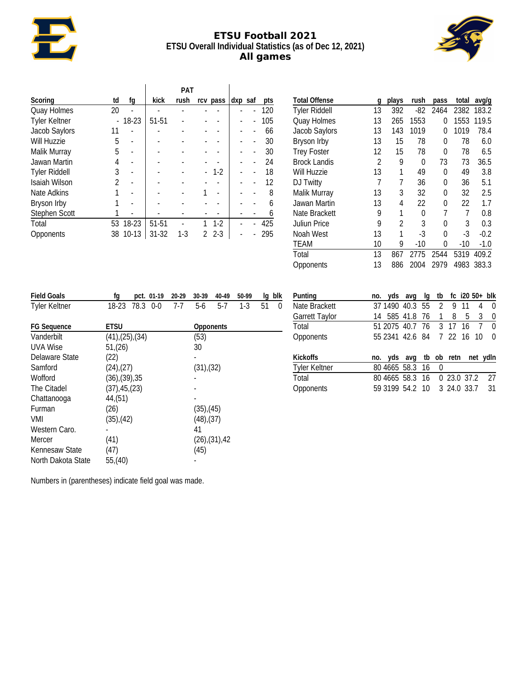# **ETSU Football 2021 ETSU Overall Individual Statistics (as of Dec 12, 2021) All games**



|                      |    |         |       | <b>PAT</b> |                          |         |     |
|----------------------|----|---------|-------|------------|--------------------------|---------|-----|
| Scoring              | td | fq      | kick  | rush       | rcv pass                 | dxp saf | pts |
| Quay Holmes          | 20 |         |       |            |                          |         | 120 |
| <b>Tyler Keltner</b> |    | 18-23   | 51-51 |            |                          |         | 105 |
| Jacob Saylors        | 11 |         |       |            |                          |         | 66  |
| <b>Will Huzzie</b>   | 5  |         |       |            |                          |         | 30  |
| Malik Murray         | 5  |         |       |            |                          |         | 30  |
| Jawan Martin         | 4  |         |       |            |                          |         | 24  |
| <b>Tyler Riddell</b> | 3  |         |       |            | $1-2$                    |         | 18  |
| Isaiah Wilson        | 2  |         |       |            |                          |         | 12  |
| Nate Adkins          |    |         |       |            |                          |         | 8   |
| Bryson Irby          |    |         |       |            |                          |         | 6   |
| Stephen Scott        |    |         |       |            |                          |         | 6   |
| Total                | 53 | 18-23   | 51-51 |            | $1-2$                    |         | 425 |
| Opponents            | 38 | $10-13$ | 31-32 | $1-3$      | $2 - 3$<br>$\mathcal{P}$ |         | 295 |

| <b>Total Offense</b> | q  | plays | rush  | pass | total | avg/g  |
|----------------------|----|-------|-------|------|-------|--------|
| <b>Tyler Riddell</b> | 13 | 392   | $-82$ | 2464 | 2382  | 183.2  |
| <b>Quay Holmes</b>   | 13 | 265   | 1553  | 0    | 1553  | 119.5  |
| Jacob Saylors        | 13 | 143   | 1019  | 0    | 1019  | 78.4   |
| Bryson Irby          | 13 | 15    | 78    | 0    | 78    | 6.0    |
| <b>Trey Foster</b>   | 12 | 15    | 78    | 0    | 78    | 6.5    |
| <b>Brock Landis</b>  | 2  | 9     | 0     | 73   | 73    | 36.5   |
| Will Huzzie          | 13 | 1     | 49    | 0    | 49    | 3.8    |
| DJ Twitty            | 7  | 7     | 36    | 0    | 36    | 5.1    |
| Malik Murray         | 13 | 3     | 32    | 0    | 32    | 2.5    |
| Jawan Martin         | 13 | 4     | 22    | 0    | 22    | 1.7    |
| Nate Brackett        | 9  | 1     | 0     | 7    | 7     | 0.8    |
| Juliun Price         | 9  | 2     | 3     | 0    | 3     | 0.3    |
| Noah West            | 13 | 1     | $-3$  | 0    | -3    | $-0.2$ |
| TEAM                 | 10 | 9     | $-10$ | 0    | $-10$ | $-1.0$ |
| Total                | 13 | 867   | 2775  | 2544 | 5319  | 409.2  |
| Opponents            | 13 | 886   | 2004  | 2979 | 4983  | 383.3  |

| <b>Field Goals</b>   | fg                       | pct. 01-19    | $20 - 29$ | 30-39           | 40-49                  | 50-99 | Ig | blk      |
|----------------------|--------------------------|---------------|-----------|-----------------|------------------------|-------|----|----------|
| <b>Tyler Keltner</b> | 18-23                    | 78.3<br>$0-0$ | 7-7       | 5-6             | $5-7$                  | $1-3$ | 51 | $\theta$ |
|                      |                          |               |           |                 |                        |       |    |          |
| <b>FG Sequence</b>   | ETSU                     |               |           | Opponents       |                        |       |    |          |
| Vanderbilt           | $(41)$ , $(25)$ , $(34)$ |               |           | (53)            |                        |       |    |          |
| UVA Wise             | 51,(26)                  |               |           | 30              |                        |       |    |          |
| Delaware State       | (22)                     |               |           |                 |                        |       |    |          |
| Samford              | $(24)$ , $(27)$          |               |           | (31),(32)       |                        |       |    |          |
| Wofford              | $(36)$ , $(39)$ , $35$   |               |           |                 |                        |       |    |          |
| The Citadel          | (37), 45, (23)           |               |           |                 |                        |       |    |          |
| Chattanooga          | 44(51)                   |               |           |                 |                        |       |    |          |
| Furman               | (26)                     |               |           | $(35)$ , $(45)$ |                        |       |    |          |
| VMI                  | $(35)$ , $(42)$          |               |           | $(48)$ , $(37)$ |                        |       |    |          |
| Western Caro.        |                          |               |           | 41              |                        |       |    |          |
| Mercer               | (41)                     |               |           |                 | $(26)$ , $(31)$ , $42$ |       |    |          |
| Kennesaw State       | (47)                     |               |           | (45)            |                        |       |    |          |
| North Dakota State   | 55,(40)                  |               |           |                 |                        |       |    |          |

|  |  |                |                   |                | 4                                 | 0                                                                                                                                                                                               |
|--|--|----------------|-------------------|----------------|-----------------------------------|-------------------------------------------------------------------------------------------------------------------------------------------------------------------------------------------------|
|  |  |                |                   |                | 3                                 | 0                                                                                                                                                                                               |
|  |  |                |                   |                |                                   | 7 0                                                                                                                                                                                             |
|  |  |                |                   |                |                                   | $\Omega$                                                                                                                                                                                        |
|  |  |                |                   |                |                                   |                                                                                                                                                                                                 |
|  |  |                |                   |                |                                   |                                                                                                                                                                                                 |
|  |  |                |                   |                |                                   | -27                                                                                                                                                                                             |
|  |  |                |                   |                |                                   | -31                                                                                                                                                                                             |
|  |  | 14 585 41.8 76 | 80 4665 58.3 16 0 | $\overline{1}$ | 37 1490 40.3 55 2 9 11<br>$_{-8}$ | no. yds avg Ig tb fc i20 50+ blk<br>5<br>51 2075 40.7 76 3 17 16<br>55 2341 42.6 84 7 22 16 10<br>no. yds avg tb ob retn net ydln<br>80 4665 58.3 16 0 23.0 37.2<br>59 3199 54.2 10 3 24.0 33.7 |

Numbers in (parentheses) indicate field goal was made.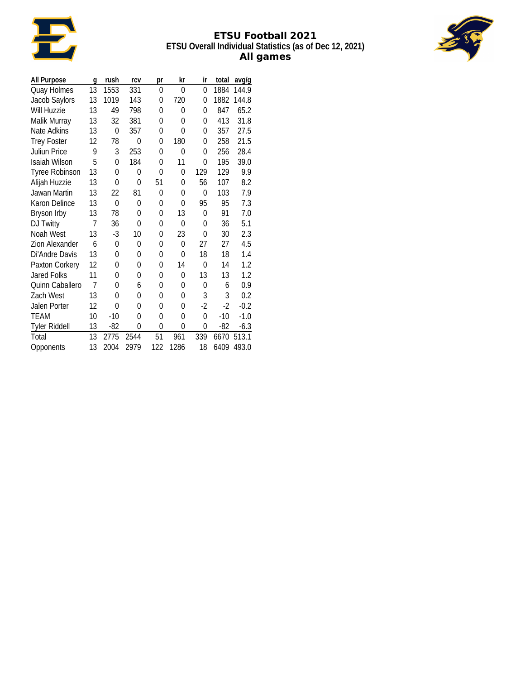

# **ETSU Football 2021 ETSU Overall Individual Statistics (as of Dec 12, 2021) All games**



| All Purpose            | g              | rush     | rcv          | pr           | kr   | ir       | total | avg/g  |
|------------------------|----------------|----------|--------------|--------------|------|----------|-------|--------|
| Quay Holmes            | 13             | 1553     | 331          | 0            | 0    | $\Omega$ | 1884  | 144.9  |
| Jacob Saylors          | 13             | 1019     | 143          | 0            | 720  | 0        | 1882  | 144.8  |
| Will Huzzie            | 13             | 49       | 798          | 0            | 0    | 0        | 847   | 65.2   |
| Malik Murray           | 13             | 32       | 381          | $\Omega$     | 0    | 0        | 413   | 31.8   |
| Nate Adkins            | 13             | 0        | 357          | 0            | 0    | 0        | 357   | 27.5   |
| <b>Trey Foster</b>     | 12             | 78       | $\Omega$     | 0            | 180  | 0        | 258   | 21.5   |
| <b>Juliun Price</b>    | 9              | 3        | 253          | 0            | 0    | 0        | 256   | 28.4   |
| <b>Isaiah Wilson</b>   | 5              | $\Omega$ | 184          | 0            | 11   | 0        | 195   | 39.0   |
| <b>Tyree Robinson</b>  | 13             | $\theta$ | $\mathbf{0}$ | $\mathbf{0}$ | 0    | 129      | 129   | 9.9    |
| Alijah Huzzie          | 13             | 0        | 0            | 51           | 0    | 56       | 107   | 8.2    |
| Jawan Martin           | 13             | 22       | 81           | 0            | 0    | 0        | 103   | 7.9    |
| Karon Delince          | 13             | $\Omega$ | 0            | 0            | 0    | 95       | 95    | 7.3    |
| Bryson Irby            | 13             | 78       | 0            | 0            | 13   | 0        | 91    | 7.0    |
| DJ Twitty              | 7              | 36       | $\mathbf{0}$ | 0            | 0    | 0        | 36    | 5.1    |
| Noah West              | 13             | $-3$     | 10           | 0            | 23   | $\Omega$ | 30    | 2.3    |
| Zion Alexander         | 6              | 0        | 0            | 0            | 0    | 27       | 27    | 4.5    |
| Di'Andre Davis         | 13             | 0        | 0            | 0            | 0    | 18       | 18    | 1.4    |
| Paxton Corkery         | 12             | 0        | 0            | 0            | 14   | 0        | 14    | 1.2    |
| <b>Jared Folks</b>     | 11             | 0        | $\mathbf{0}$ | $\mathbf{0}$ | 0    | 13       | 13    | 1.2    |
| <b>Ouinn Caballero</b> | $\overline{1}$ | 0        | 6            | 0            | 0    | 0        | 6     | 0.9    |
| Zach West              | 13             | 0        | 0            | 0            | 0    | 3        | 3     | 0.2    |
| Jalen Porter           | 12             | $\Omega$ | 0            | 0            | 0    | $-2$     | $-2$  | $-0.2$ |
| <b>TEAM</b>            | 10             | $-10$    | 0            | 0            | 0    | 0        | $-10$ | $-1.0$ |
| <b>Tyler Riddell</b>   | 13             | $-82$    | 0            | $\mathbf{0}$ | 0    | $\Omega$ | $-82$ | $-6.3$ |
| Total                  | 13             | 2775     | 2544         | 51           | 961  | 339      | 6670  | 513.1  |
| Opponents              | 13             | 2004     | 2979         | 122          | 1286 | 18       | 6409  | 493.0  |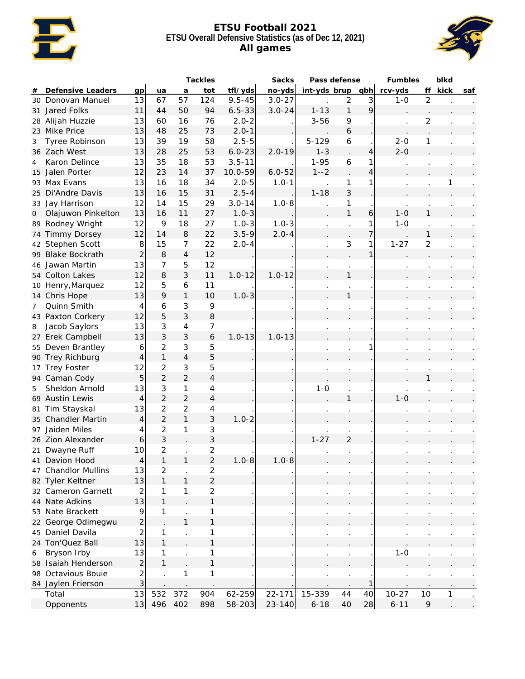

#### **ETSU Football 2021 ETSU Overall Defensive Statistics (as of Dec 12, 2021) All games**



|                |                     |                               |                   |                      | Tackles             |             | Sacks      | Pass defense         |                |    | Fumbles   |                | blkd |     |
|----------------|---------------------|-------------------------------|-------------------|----------------------|---------------------|-------------|------------|----------------------|----------------|----|-----------|----------------|------|-----|
| #              | Defensive Leaders   | qp                            | ua                | a                    | tot                 | tfl/yds     | no-yds     | $int-yds$ brup $qbh$ |                |    | rcv-yds   | ff             | kick | saf |
|                | 30 Donovan Manuel   | 13                            | 67                | 57                   | 124                 | $9.5 - 45$  | $3.0 - 27$ |                      | $\overline{2}$ | 3  | $1-0$     | $\overline{2}$ |      |     |
|                | 31 Jared Folks      | 11                            | 44                | 50                   | 94                  | $6.5 - 33$  | $3.0 - 24$ | $1 - 13$             | $\mathbf{1}$   | 9  |           |                |      |     |
|                | 28 Alijah Huzzie    | 13                            | 60                | 16                   | 76                  | $2.0 - 2$   |            | $3 - 56$             | 9              |    |           | $\overline{c}$ |      |     |
|                | 23 Mike Price       | 13                            | 48                | 25                   | 73                  | $2.0 - 1$   |            |                      | 6              |    |           |                |      |     |
| 3              | Tyree Robinson      | 13                            | 39                | 19                   | 58                  | $2.5 - 5$   |            | $5 - 129$            | 6              |    | $2 - 0$   | 1              |      |     |
|                | 36 Zach West        | 13                            | 28                | 25                   | 53                  | $6.0 - 23$  | $2.0 - 19$ | $1 - 3$              |                | 4  | $2 - 0$   |                |      |     |
| 4              | Karon Delince       | 13                            | 35                | 18                   | 53                  | $3.5 - 11$  |            | $1 - 95$             | 6              | 1  |           |                |      |     |
|                | 15 Jalen Porter     | 12                            | 23                | 14                   | 37                  | $10.0 - 59$ | $6.0 - 52$ | $1 - -2$             |                | 4  |           |                |      |     |
|                | 93 Max Evans        | 13                            | 16                | 18                   | 34                  | $2.0 - 5$   | $1.0 - 1$  |                      | 1              |    |           |                | 1    |     |
|                | 25 Di'Andre Davis   | 13                            | 16                | 15                   | 31                  | $2.5 - 4$   |            | $1 - 18$             | 3              |    |           |                |      |     |
|                | 33 Jay Harrison     | 12                            | 14                | 15                   | 29                  | $3.0 - 14$  | $1.0 - 8$  |                      | 1              |    |           |                |      |     |
| 0              | Olajuwon Pinkelton  | 13                            | 16                | 11                   | 27                  | $1.0 - 3$   |            |                      | $\mathbf{1}$   | 6  | $1 - 0$   | 1              |      |     |
|                | 89 Rodney Wright    | 12                            | 9                 | 18                   | 27                  | $1.0 - 3$   | $1.0 - 3$  |                      |                | 1  | $1 - 0$   |                |      |     |
|                | 74 Timmy Dorsey     | 12                            | 14                | $\,8\,$              | 22                  | $3.5 - 9$   | $2.0 - 4$  |                      |                | 7  |           | 1              |      |     |
|                | 42 Stephen Scott    | $\,8\,$                       | 15                | 7                    | 22                  | $2.0 - 4$   |            |                      | 3              | 1  | $1 - 27$  | $\overline{2}$ |      |     |
|                | 99 Blake Bockrath   | $\overline{2}$                | 8                 | $\overline{4}$       | 12                  |             |            |                      |                | 1  |           |                |      |     |
|                | 46 Jawan Martin     | 13                            | $\overline{7}$    | 5                    | 12                  |             |            |                      |                |    |           |                |      |     |
|                | 54 Colton Lakes     | 12                            | 8                 | $\mathfrak{Z}$       | 11                  | $1.0 - 12$  | $1.0 - 12$ |                      | $\mathbf{1}$   |    |           |                |      |     |
|                | 10 Henry, Marquez   | 12                            | 5                 | 6                    | 11                  |             |            |                      |                |    |           |                |      |     |
|                | 14 Chris Hope       | 13                            | 9                 | $\mathbf{1}$         | 10                  | $1.0 - 3$   |            |                      | $\mathbf{1}$   |    |           |                |      |     |
| $\overline{7}$ | Quinn Smith         | 4                             | 6                 | $\sqrt{3}$           | 9                   |             |            |                      |                |    |           |                |      |     |
|                | 43 Paxton Corkery   | 12                            | 5                 | $\mathfrak{Z}$       | 8                   |             |            |                      |                |    |           |                |      |     |
| 8              | Jacob Saylors       | 13                            | 3                 | 4                    | 7                   |             |            |                      |                |    |           |                |      |     |
|                | 27 Erek Campbell    | 13                            | 3                 | $\mathfrak{Z}$       | 6                   | $1.0 - 13$  | $1.0 - 13$ |                      |                |    |           |                |      |     |
|                | 55 Deven Brantley   | 6                             | $\overline{c}$    | 3                    | 5                   |             |            |                      |                |    |           |                |      |     |
|                | 90 Trey Richburg    | $\overline{4}$                | $\mathbf{1}$      | $\overline{4}$       | 5                   |             |            |                      |                |    |           |                |      |     |
|                | 17 Trey Foster      | 12                            | $\overline{c}$    | 3                    | 5                   |             |            |                      |                |    |           |                |      |     |
|                | 94 Caman Cody       | 5                             | $\overline{2}$    | $\overline{2}$       | $\overline{4}$      |             |            |                      |                |    |           |                |      |     |
| 5              | Sheldon Arnold      | 13                            | 3                 | 1                    | 4                   |             |            | $1 - 0$              |                |    |           |                |      |     |
|                | 69 Austin Lewis     | $\overline{4}$                | $\overline{2}$    | $\overline{2}$       | $\overline{4}$      |             |            |                      | 1              |    | $1 - 0$   |                |      |     |
|                | 81 Tim Stayskal     | 13                            | $\overline{c}$    | $\overline{c}$       | 4                   |             |            |                      |                |    |           |                |      |     |
|                | 35 Chandler Martin  | $\overline{4}$                | $\overline{2}$    | $\mathbf{1}$         | 3                   | $1.0 - 2$   |            |                      |                |    |           |                |      |     |
|                | 97 Jaiden Miles     | 4                             | $\overline{c}$    | 1                    | 3                   |             |            |                      |                |    |           |                |      |     |
|                | 26 Zion Alexander   | 6                             | 3                 |                      | 3                   |             |            | $1 - 27$             | $\overline{2}$ |    |           |                |      |     |
|                | 21 Dwayne Ruff      | 10                            | 2                 |                      | $\overline{2}$      |             |            |                      |                |    |           |                |      |     |
|                | 41 Davion Hood      | $\Lambda$                     | $\mathbf{1}$      | 1                    | $\overline{2}$      | $1.0 - 8$   | $1.0 - 8$  |                      |                |    |           |                |      |     |
|                | 47 Chandlor Mullins | 13                            |                   |                      |                     |             |            |                      |                |    |           |                |      |     |
|                | 82 Tyler Keltner    | 13                            | 2<br>$\mathbf{1}$ | 1                    | 2<br>$\overline{2}$ |             |            |                      |                |    |           |                |      |     |
|                | 32 Cameron Garnett  |                               | 1                 | 1                    | $\overline{c}$      |             |            |                      |                |    |           |                |      |     |
|                | 44 Nate Adkins      | 2<br>13                       | $\mathbf{1}$      |                      | $\mathbf{1}$        |             |            |                      |                |    |           |                |      |     |
|                | 53 Nate Brackett    |                               | 1                 |                      |                     |             |            |                      |                |    |           |                |      |     |
|                |                     | 9                             |                   | 1                    | 1<br>$\mathbf{1}$   |             |            |                      |                |    |           |                |      |     |
|                | 22 George Odimegwu  | $\overline{c}$                |                   |                      |                     |             |            |                      |                |    |           |                |      |     |
|                | 45 Daniel Davila    | $\overline{\mathbf{c}}$<br>13 | 1<br>$\mathbf{1}$ | $\ddot{\phantom{a}}$ | 1<br>$\mathbf{1}$   |             |            |                      |                |    |           |                |      |     |
|                | 24 Ton'Quez Ball    |                               |                   |                      |                     |             |            |                      |                |    |           |                |      |     |
| 6              | Bryson Irby         | 13                            | 1                 |                      | 1                   |             |            |                      |                |    | $1 - 0$   |                |      |     |
|                | 58 Isaiah Henderson | $\overline{2}$                | $\mathbf{1}$      |                      | $\mathbf{1}$        |             |            |                      |                |    |           |                |      |     |
|                | 98 Octavious Boule  | $\overline{\mathbf{c}}$       |                   | 1                    | $\mathbf 1$         |             |            |                      |                |    |           |                |      |     |
|                | 84 Jaylen Frierson  | 3                             |                   |                      |                     |             |            |                      |                |    |           |                |      |     |
|                | Total               | 13                            | 532               | 372                  | 904                 | 62-259      | 22-171     | 15-339               | 44             | 40 | $10 - 27$ | 10             | 1    |     |
|                | Opponents           | 13                            | 496 402           |                      | 898                 | 58-203      | $23 - 140$ | $6 - 18$             | 40             | 28 | $6 - 11$  | $\mathcal{P}$  |      |     |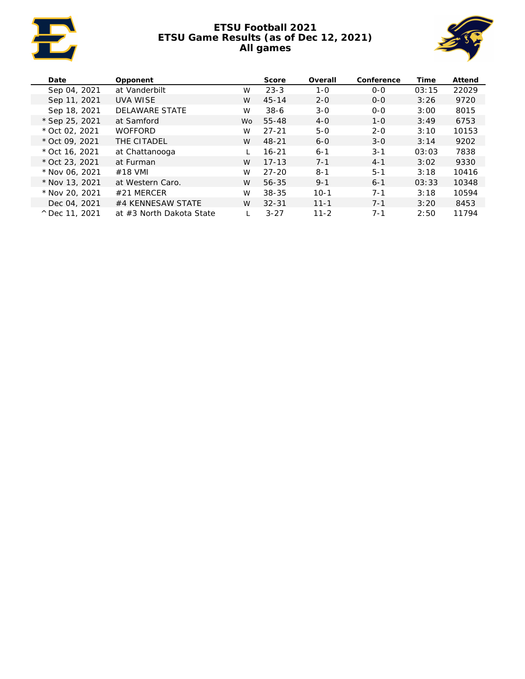

# **ETSU Football 2021 ETSU Game Results (as of Dec 12, 2021) All games**



| Date                    | Opponent                 |     | Score     | Overall  | Conference | Time  | Attend |
|-------------------------|--------------------------|-----|-----------|----------|------------|-------|--------|
| Sep 04, 2021            | at Vanderbilt            | W   | $23 - 3$  | $1 - 0$  | $O-O$      | 03:15 | 22029  |
| Sep 11, 2021            | <b>UVA WISE</b>          | W   | $45 - 14$ | $2 - 0$  | $O-O$      | 3:26  | 9720   |
| Sep 18, 2021            | <b>DELAWARE STATE</b>    | W   | $38-6$    | $3 - 0$  | $O-O$      | 3:00  | 8015   |
| * Sep 25, 2021          | at Samford               | Wo. | 55-48     | $4 - 0$  | $1 - 0$    | 3:49  | 6753   |
| $*$ Oct 02, 2021        | <b>WOFFORD</b>           | W   | $27 - 21$ | $5 - 0$  | $2 - 0$    | 3:10  | 10153  |
| $*$ Oct 09, 2021        | THE CITADEL              | W   | $48 - 21$ | $6 - 0$  | $3 - 0$    | 3:14  | 9202   |
| $*$ Oct 16, 2021        | at Chattanooga           |     | $16 - 21$ | $6 - 1$  | $3 - 1$    | 03:03 | 7838   |
| $*$ Oct 23, 2021        | at Furman                | W   | $17 - 13$ | $7 - 1$  | $4 - 1$    | 3:02  | 9330   |
| * Nov 06, 2021          | #18 VMI                  | W   | $27 - 20$ | $8 - 1$  | $5 - 1$    | 3:18  | 10416  |
| $*$ Nov 13, 2021        | at Western Caro.         | W   | 56-35     | $9 - 1$  | $6 - 1$    | 03:33 | 10348  |
| * Nov 20, 2021          | $#21$ MERCER             | W   | 38-35     | $10-1$   | $7 - 1$    | 3:18  | 10594  |
| Dec 04, 2021            | #4 KENNESAW STATE        | W   | $32 - 31$ | $11 - 1$ | $7 - 1$    | 3:20  | 8453   |
| $^{\circ}$ Dec 11, 2021 | at #3 North Dakota State |     | $3 - 27$  | $11 - 2$ | $7 - 1$    | 2:50  | 11794  |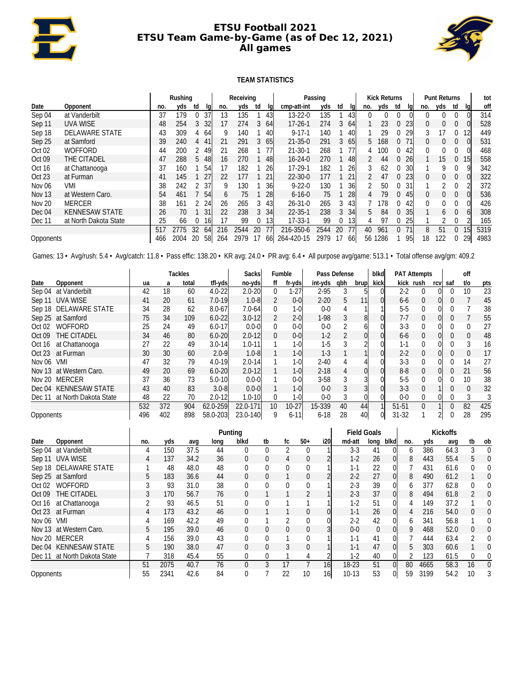

#### **ETSU Football 2021 ETSU Team Game-by-Game (as of Dec 12, 2021) All games**



#### **TEAM STATISTICS**

|                   |                                        |     | Rushing |    |    |                 | Receiving                       |               |     | Passing       | <b>Kick Returns</b> |    |                 |     | <b>Punt Returns</b> |          |           |          | tot |          |                 |      |
|-------------------|----------------------------------------|-----|---------|----|----|-----------------|---------------------------------|---------------|-----|---------------|---------------------|----|-----------------|-----|---------------------|----------|-----------|----------|-----|----------|-----------------|------|
| Date              | Opponent                               | no. | yds     | td | la | no.             | cmp-att-int<br>yds<br>td<br>lal |               |     |               | yds                 | td | lal             | no. | yds                 | td       | la        | no.      | yds | td       | la              | off  |
| Sep 04            | at Vanderbilt                          | 37  | 179     |    | 37 | 135<br>13       |                                 | $13 - 22 - 0$ | 135 |               | 43                  |    |                 |     |                     |          |           |          |     | 314      |                 |      |
| Sep 11            | <b>UVA WISE</b>                        | 48  | 254     | 3  | 32 | 17              | 274                             | 3             | 64  | $17 - 26 - 1$ | 274                 | 3  | -64             |     | 23                  | $\theta$ | 23        | 0        |     | 0        |                 | 528  |
| Sep 18            | <b>DELAWARE STATE</b>                  | 43  | 309     | 4  | 64 | 9               | 140                             |               | 40  | $9 - 17 - 1$  | 140                 |    | 40              |     | 29                  | 0        | 29        | 3        | 17  | 0        | 12              | 449  |
| Sep 25            | at Samford                             | 39  | 240     | 4  | 41 | 21              | 291                             | 3             | 65  | $21 - 35 - 0$ | 291                 | 3  | 65              | 5   | 168                 | $\Omega$ | 71        | $\Omega$ | 0   | 0        |                 | 531  |
| Oct <sub>02</sub> | <b>WOFFORD</b>                         | 44  | 200     |    | 49 | 21              | 268                             |               |     | $21 - 30 - 1$ | 268                 |    | 77              | 4   | 100                 |          | 42        | $\Omega$ |     | 0        |                 | 468  |
| Oct 09            | THE CITADEL                            | 47  | 288     | 5  | 48 | 16              | 270                             |               | 48  | $16 - 24 - 0$ | 270                 |    | 48              |     | 44                  | $\Omega$ | <b>26</b> |          | 15  | $\Omega$ | 15              | 558  |
| Oct 16            | at Chattanooga                         | 37  | 160     |    | 54 | 182<br>17<br>26 |                                 | $17 - 29 - 1$ | 182 |               | 26                  |    | 62              |     | 30 <sup>°</sup>     |          | Q         |          |     | 342      |                 |      |
| Oct 23            | at Furman                              | 41  | 145     |    | 27 | 22              | 177                             |               |     | $22 - 30 - 0$ | 177                 |    | 21              |     | 47                  | 0        | 23        | $\theta$ |     | 0        |                 | 322  |
| Nov 06            | VMI                                    | 38  | 242     |    | 37 | 9               | 130                             |               | 36  | $9 - 22 - 0$  | 130                 |    | 36              |     | 50                  | 0        | 31        |          |     |          |                 | 372  |
| <b>Nov 13</b>     | at Western Caro.                       | 54  | 461     |    | 54 | $\mathfrak b$   | 75                              |               | 28  | $6 - 16 - 0$  | 75                  |    | 28              | 4   | 79                  | $\Omega$ | 45        | $\Omega$ | 0   | 0        |                 | 536  |
| <b>Nov 20</b>     | <b>MERCER</b>                          | 38  | 161     |    | 24 | 26              | 265                             | 3             | 43  | $26 - 31 - 0$ | 265                 | 3  | 43              |     | 78                  |          | 42        | $\Omega$ |     |          |                 | 426  |
| Dec 04            | <b>KENNESAW STATE</b>                  | 26  | 70      |    | 31 | 22              | 238                             | 3             | 34  | $22 - 35 - 1$ | 238                 | 3  | 34              | 5.  | 84                  | $\Omega$ | 35        |          | 6   | 0        |                 | 308  |
| Dec 11            | at North Dakota State                  | 25  | 66      |    | 16 | 17              | 99                              | ا31،          |     | $17 - 33 - 1$ | 99                  | 0  | 13 <sub>l</sub> |     | 97                  |          | 25        |          |     |          |                 | 165  |
|                   | 32<br>2544<br>2775<br>216<br>517<br>64 |     |         |    |    |                 |                                 | 20            |     | 216-350-6     | 2544                | 20 | 77              | 40  | 961                 | $\Omega$ |           | 8        | 51  |          | 15 <sub>l</sub> | 5319 |
| Opponents         |                                        | 466 | 2004    | 20 | 58 | 264             | 2979                            |               | 661 | 264-420-15    | 2979                | 17 | 66I             | 56  | 1286                |          | 95        | 18       | 122 | 0        | 29              | 4983 |

Games: 13 • Avg/rush: 5.4 • Avg/catch: 11.8 • Pass effic: 138.20 • KR avg: 24.0 • PR avg: 6.4 • All purpose avg/game: 513.1 • Total offense avg/gm: 409.2

|           |                              |     |     | Tackles |            | Sacksl     |                 | Fumble   | Pass Defense |     |      | blkd |           | <b>PAT Attempts</b> |      |          | off             |     |
|-----------|------------------------------|-----|-----|---------|------------|------------|-----------------|----------|--------------|-----|------|------|-----------|---------------------|------|----------|-----------------|-----|
| Date      | Opponent                     | ua  | a   | total   | tfl-yds    | no-yds     | ff              | fr-yds   | int-yds      | qbh | brup | kick |           | kick rush           | rcvl | saf      | t/o             | pts |
| Sep 04    | at Vanderbilt                | 42  | 18  | 60      | $4.0 - 22$ | $2.0 - 20$ | $\mathbf{0}$    | $-27$    | $2 - 95$     |     |      |      | 2-2       | $\mathbf 0$         |      |          | 10              | 23  |
| Sep 11    | UVA WISE                     | 41  | 20  | 61      | $7.0 - 19$ | $1.0 - 8$  |                 | $0-0$    | $2 - 20$     | 5.  | 111  |      | $6-6$     | 0                   |      |          |                 | 45  |
|           | Sep 18 DELAWARE STATE        | 34  | 28  | 62      | $8.0 - 67$ | 7.0-64     | $\Omega$        | $1-0$    | $0 - 0$      |     |      |      | $5 - 5$   | $\Omega$            |      |          |                 | 38  |
|           | Sep 25 at Samford            | 75  | 34  | 109     | $6.0 - 22$ | $3.0 - 12$ | 2               | $2 - 0$  | $1-98$       |     | 8    |      | $7 - 7$   | 0                   |      |          |                 | 55  |
| Oct 02    | <b>WOFFORD</b>               | 25  | 24  | 49      | $6.0 - 17$ | $0.0 - 0$  | 0               | $0 - 0$  | $0 - 0$      |     |      |      | $3-3$     | $\Omega$            |      |          |                 | 27  |
| Oct 09    | THE CITADEL                  | 34  | 46  | 80      | $6.0 - 20$ | $2.0 - 12$ | $\Omega$        | $0-0$    | $1-2$        |     |      |      | 6-6       | 0                   |      |          |                 | 48  |
| Oct 16    | at Chattanooga               | 27  | 22  | 49      | $3.0 - 14$ | $1.0 - 11$ |                 | 1-0      | $1-5$        |     |      |      | $1 - 1$   | 0                   |      |          |                 | 16  |
| Oct 23    | at Furman                    | 30  | 30  | 60      | $2.0 - 9$  | $1.0 - 8$  |                 | $1-0$    | $1 - 3$      |     |      |      | $2 - 2$   | $\Omega$            |      |          |                 | 17  |
| Nov 06    | <b>VMI</b>                   | 47  | 32  | 79      | $4.0 - 19$ | $2.0 - 14$ |                 | $1 - 0$  | $2 - 40$     |     |      |      | $3 - 3$   | $\Omega$            |      |          | 14              | 27  |
|           | Nov 13 at Western Caro.      | 49  | 20  | 69      | $6.0 - 20$ | $2.0 - 12$ |                 | $1-0$    | $2 - 18$     |     |      |      | $8 - 8$   | $\Omega$            |      |          | 21              | 56  |
|           | Nov 20 MERCER                | 37  | 36  | 73      | $5.0 - 10$ | $0.0 - 0$  |                 | $0 - 0$  | $3 - 58$     |     |      |      | $5-5$     | 0                   |      |          | 10 <sup>°</sup> | 38  |
|           | Dec 04 KENNESAW STATE        | 43  | 40  | 83      | $3.0 - 8$  | $0.0 - 0$  |                 | $1 - 0$  | $0 - 0$      |     |      |      | $3 - 3$   | 0                   |      | $\Omega$ | 0               | 32  |
|           | Dec 11 at North Dakota State | 48  | 22  | 70      | $2.0 - 12$ | $1.0 - 10$ | 0               | $1-0l$   | $0 - 0$      | 3   |      |      | $0 - 0$   | $\Omega$            |      |          |                 |     |
|           |                              | 532 | 372 | 904     | 62.0-259   | 22.0-171   | 10 <sup>1</sup> | $10-27$  | 15-339       | 40  | 44   |      | 51-51     | $\Omega$            |      | $\Omega$ | 82              | 425 |
| Opponents |                              | 496 | 402 | 898     | 58.0-203   | 23.0-140   | 9               | $6 - 11$ | $6 - 18$     | 28  | 40   |      | $31 - 32$ |                     |      |          | 28              | 295 |

|           |                              |     |      |      |      | Punting  |          |    | <b>Field Goals</b> |                 |         |          |      |              |      |      |                |          |
|-----------|------------------------------|-----|------|------|------|----------|----------|----|--------------------|-----------------|---------|----------|------|--------------|------|------|----------------|----------|
| Date      | Opponent                     | no. | yds  | avq  | Iona | blkd     | tb       | fc | $50+$              | i20l            | md-att  | long     | blkd | no.          | yds  | avq  | tb             | ob       |
| Sep 04    | at Vanderbilt                |     | 150  | 37.5 | 44   | 0        | 0        | 2  |                    |                 | $3 - 3$ | 41       |      | h            | 386  | 64.3 | 3              | $\Omega$ |
| Sep 11    | UVA WISE                     | 4   | 137  | 34.2 | 36   | $\Omega$ | 0        | 4  |                    |                 | $1-2$   | 26       |      | 8            | 443  | 55.4 | 5              | $\Omega$ |
|           | Sep 18 DELAWARE STATE        |     | 48   | 48.0 | 48   | 0        | 0        | 0  |                    |                 | $1 - 1$ | 22       |      |              | 431  | 61.6 | 0              | $\Omega$ |
|           | Sep 25 at Samford            | 5   | 183  | 36.6 | 44   | 0        | 0        |    |                    |                 | $2 - 2$ | 27       |      | 8            | 490  | 61.2 |                | $\Omega$ |
| Oct 02    | <b>WOFFORD</b>               |     | 93   | 31.0 | 38   | 0        | $\Omega$ | 0  |                    |                 | $2 - 3$ | 39       |      | <sub>6</sub> | 377  | 62.8 | 0              | $\Omega$ |
| Oct 09    | THE CITADEL                  |     | 170  | 56.7 | 76   | $\Omega$ |          |    |                    |                 | $2 - 3$ | 37       |      | 8            | 494  | 61.8 | $\mathfrak{D}$ | $\Omega$ |
| Oct 16    | at Chattanooga               |     | 93   | 46.5 | 51   | 0        | $\Omega$ |    |                    |                 | $1-2$   | 51       |      | 4            | 149  | 37.2 |                | $\Omega$ |
| Oct 23    | at Furman                    | 4   | 173  | 43.2 | 46   | $\Omega$ |          |    |                    |                 | $1 - 1$ | 26       |      |              | 216  | 54.0 | 0              | $\Omega$ |
| Nov 06    | VMI                          |     | 169  | 42.2 | 49   | 0        |          |    |                    |                 | $2 - 2$ | 42       |      | <sub>b</sub> | 341  | 56.8 |                | $\Omega$ |
|           | Nov 13 at Western Caro.      | 5   | 195  | 39.0 | 46   | 0        | $\Omega$ | 0  |                    |                 | $0 - 0$ | $\Omega$ |      | 9            | 468  | 52.0 | 0              | $\Omega$ |
| Nov 20    | MERCER                       |     | 156  | 39.0 | 43   | 0        | 0        |    |                    |                 | 1-1     | 41       |      |              | 444  | 63.4 | 2              | $\Omega$ |
| Dec 04    | <b>KENNESAW STATE</b>        | 5   | 190  | 38.0 | 47   | $\Omega$ | $\Omega$ | 3  | 0                  |                 | $1 - 1$ | 47       |      | 5            | 303  | 60.6 |                | $\Omega$ |
|           | Dec 11 at North Dakota State |     | 318  | 45.4 | 55   | $\Omega$ | 0        |    |                    |                 | $1-2$   | 40       |      |              | 123  | 61.5 | $\Omega$       | $\Omega$ |
|           |                              | 51  | 2075 | 40.7 | 76   | $\Omega$ | 3        | 17 |                    | 16 <sup>l</sup> | $18-23$ | 51       |      | 80           | 4665 | 58.3 | 16             | $\Omega$ |
| Opponents |                              | 55  | 2341 | 42.6 | 84   | 0        |          | 22 | 10                 | 16 <sup>1</sup> | $10-13$ | 53       |      | 59           | 3199 | 54.2 | 10             |          |

 $\overline{a}$